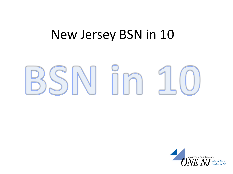#### New Jersey BSN in 10



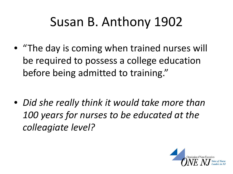#### Susan B. Anthony 1902

• "The day is coming when trained nurses will be required to possess a college education before being admitted to training."

• *Did she really think it would take more than 100 years for nurses to be educated at the colleagiate level?* 

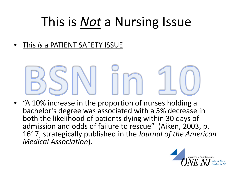#### This is *Not* a Nursing Issue

• This *is* a PATIENT SAFETY ISSUE

• "A 10% increase in the proportion of nurses holding a bachelor's degree was associated with a 5% decrease in both the likelihood of patients dying within 30 days of admission and odds of failure to rescue" (Aiken, 2003, p. 1617, strategically published in the *Journal of the American Medical Association*).

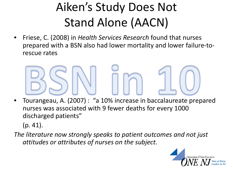#### Aiken's Study Does Not Stand Alone (AACN)

• Friese, C. (2008) in *Health Services Research* found that nurses prepared with a BSN also had lower mortality and lower failure-torescue rates

- Tourangeau, A. (2007) : "a 10% increase in baccalaureate prepared nurses was associated with 9 fewer deaths for every 1000 discharged patients" (p. 41).
- *The literature now strongly speaks to patient outcomes and not just attitudes or attributes of nurses on the subject.*

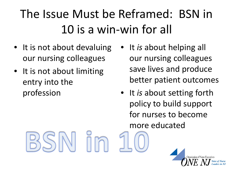#### The Issue Must be Reframed: BSN in 10 is a win-win for all

- It is not about devaluing our nursing colleagues
- It is not about limiting entry into the profession
- It *is* about helping all our nursing colleagues save lives and produce better patient outcomes
- It *is* about setting forth policy to build support for nurses to become more educated

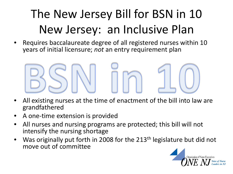#### The New Jersey Bill for BSN in 10 New Jersey: an Inclusive Plan

• Requires baccalaureate degree of all registered nurses within 10 years of initial licensure; *not* an entry requirement plan



- All existing nurses at the time of enactment of the bill into law are grandfathered
- A one-time extension is provided
- All nurses and nursing programs are protected; this bill will not intensify the nursing shortage
- Was originally put forth in 2008 for the 213<sup>th</sup> legislature but did not move out of committee

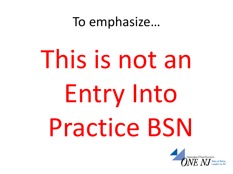To emphasize…

# This is not an Entry Into Practice BSN

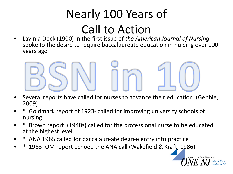#### Nearly 100 Years of Call to Action

• Lavinia Dock (1900) in the first issue of *the American Journal of Nursing*  spoke to the desire to require baccalaureate education in nursing over 100 years ago



- Goldmark report of 1923- called for improving university schools of nursing
- Brown report (1940s) called for the professional nurse to be educated at the highest level

Organization of Nurse Executives

- ANA 1965 called for baccalaureate degree entry into practice
- 1983 IOM report echoed the ANA call (Wakefield & Kraft, 1986)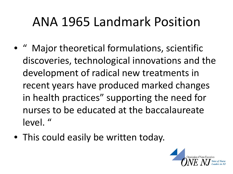#### ANA 1965 Landmark Position

- " Major theoretical formulations, scientific discoveries, technological innovations and the development of radical new treatments in recent years have produced marked changes in health practices" supporting the need for nurses to be educated at the baccalaureate level. "
- This could easily be written today.

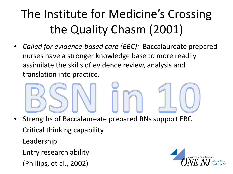#### The Institute for Medicine's Crossing the Quality Chasm (2001)

• *Called for evidence-based care (EBC):* Baccalaureate prepared nurses have a stronger knowledge base to more readily assimilate the skills of evidence review, analysis and translation into practice.

- Strengths of Baccalaureate prepared RNs support EBC Critical thinking capability Leadership Entry research ability
	- (Phillips, et al., 2002)

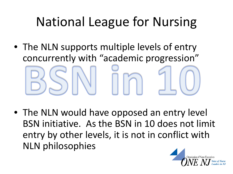### National League for Nursing

• The NLN supports multiple levels of entry concurrently with "academic progression"

• The NLN would have opposed an entry level BSN initiative. As the BSN in 10 does not limit entry by other levels, it is not in conflict with NLN philosophies

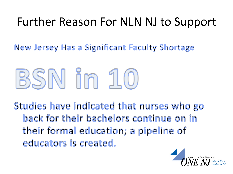#### Further Reason For NLN NJ to Support

New Jersey Has a Significant Faculty Shortage

## BSN in 10

Studies have indicated that nurses who go back for their bachelors continue on in their formal education; a pipeline of educators is created.

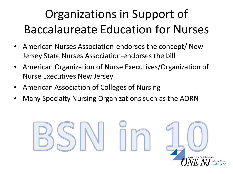#### Organizations in Support of Baccalaureate Education for Nurses

- American Nurses Association-endorses the concept/ New Jersey State Nurses Association-endorses the bill
- American Organization of Nurse Executives/Organization of Nurse Executives New Jersey
- American Association of Colleges of Nursing
- Many Specialty Nursing Organizations such as the AORN

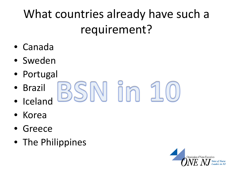#### What countries already have such a requirement?

- Canada
- Sweden
- Portugal
- SN in • Brazil
- Iceland
- Korea
- Greece
- The Philippines

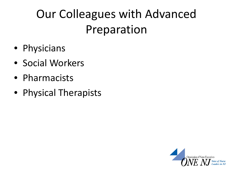#### Our Colleagues with Advanced Preparation

- Physicians
- Social Workers
- Pharmacists
- Physical Therapists

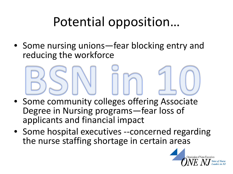#### Potential opposition…

• Some nursing unions—fear blocking entry and reducing the workforce

- Some community colleges offering Associate Degree in Nursing programs—fear loss of applicants and financial impact
- Some hospital executives --concerned regarding the nurse staffing shortage in certain areas